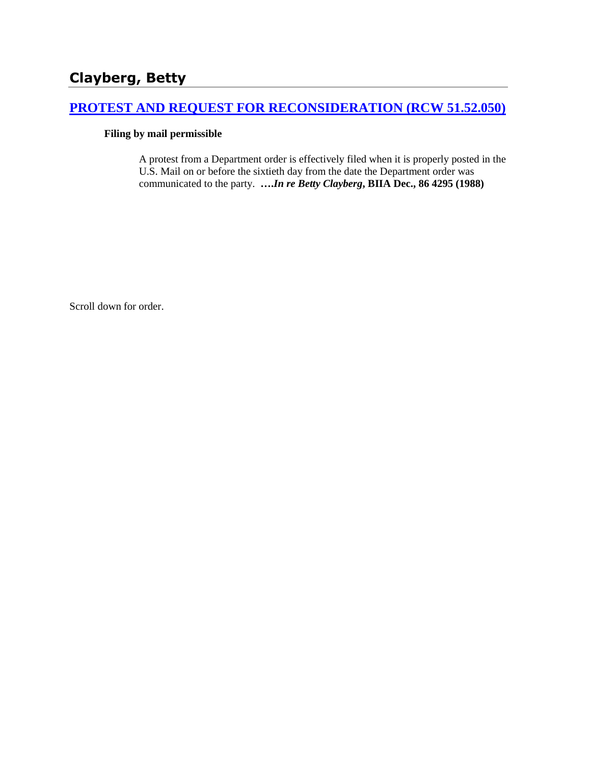# **Clayberg, Betty**

## **[PROTEST AND REQUEST FOR RECONSIDERATION \(RCW 51.52.050\)](http://www.biia.wa.gov/SDSubjectIndex.html#PROTEST_AND_REQUEST_FOR_RECONSIDERATION)**

### **Filing by mail permissible**

A protest from a Department order is effectively filed when it is properly posted in the U.S. Mail on or before the sixtieth day from the date the Department order was communicated to the party. **….***In re Betty Clayberg***, BIIA Dec., 86 4295 (1988)** 

Scroll down for order.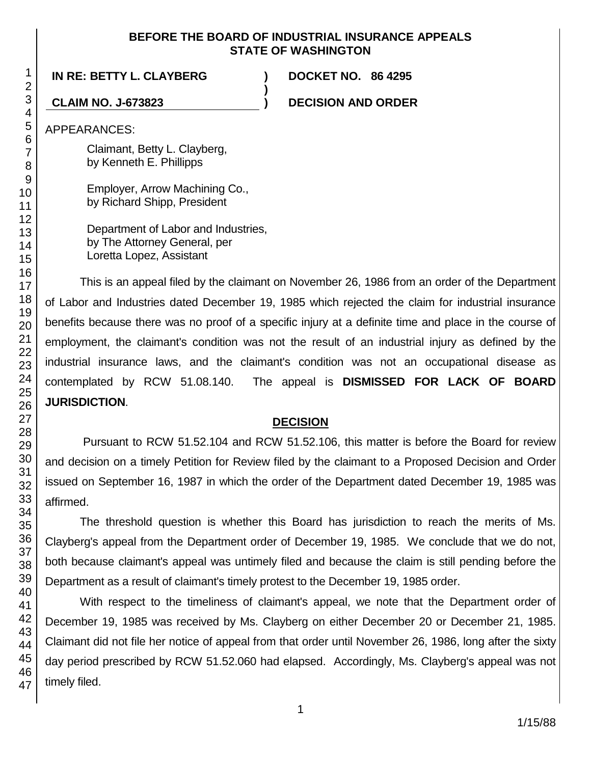### **BEFORE THE BOARD OF INDUSTRIAL INSURANCE APPEALS STATE OF WASHINGTON**

**)**

**IN RE: BETTY L. CLAYBERG ) DOCKET NO. 86 4295**

**CLAIM NO. J-673823 ) DECISION AND ORDER**

APPEARANCES:

Claimant, Betty L. Clayberg, by Kenneth E. Phillipps

Employer, Arrow Machining Co., by Richard Shipp, President

Department of Labor and Industries, by The Attorney General, per Loretta Lopez, Assistant

This is an appeal filed by the claimant on November 26, 1986 from an order of the Department of Labor and Industries dated December 19, 1985 which rejected the claim for industrial insurance benefits because there was no proof of a specific injury at a definite time and place in the course of employment, the claimant's condition was not the result of an industrial injury as defined by the industrial insurance laws, and the claimant's condition was not an occupational disease as contemplated by RCW 51.08.140. The appeal is **DISMISSED FOR LACK OF BOARD JURISDICTION**.

### **DECISION**

Pursuant to RCW 51.52.104 and RCW 51.52.106, this matter is before the Board for review and decision on a timely Petition for Review filed by the claimant to a Proposed Decision and Order issued on September 16, 1987 in which the order of the Department dated December 19, 1985 was affirmed.

The threshold question is whether this Board has jurisdiction to reach the merits of Ms. Clayberg's appeal from the Department order of December 19, 1985. We conclude that we do not, both because claimant's appeal was untimely filed and because the claim is still pending before the Department as a result of claimant's timely protest to the December 19, 1985 order.

With respect to the timeliness of claimant's appeal, we note that the Department order of December 19, 1985 was received by Ms. Clayberg on either December 20 or December 21, 1985. Claimant did not file her notice of appeal from that order until November 26, 1986, long after the sixty day period prescribed by RCW 51.52.060 had elapsed. Accordingly, Ms. Clayberg's appeal was not timely filed.

1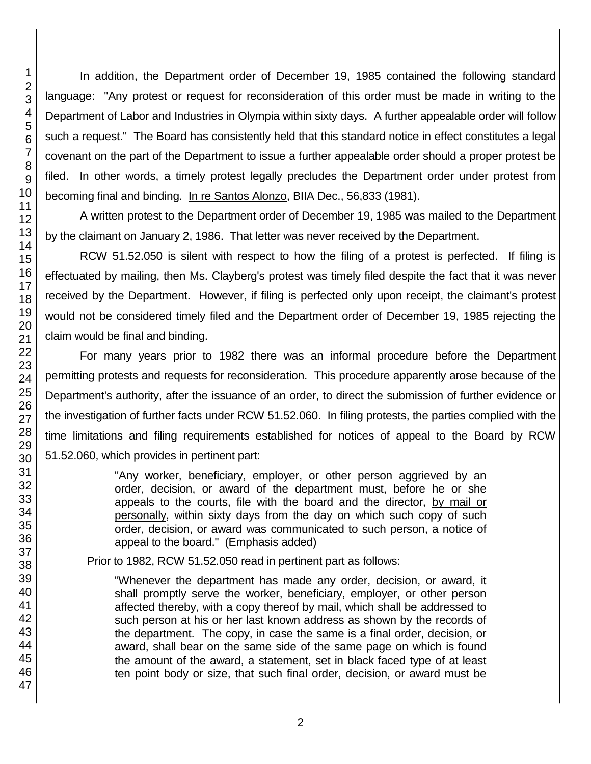In addition, the Department order of December 19, 1985 contained the following standard language: "Any protest or request for reconsideration of this order must be made in writing to the Department of Labor and Industries in Olympia within sixty days. A further appealable order will follow such a request." The Board has consistently held that this standard notice in effect constitutes a legal covenant on the part of the Department to issue a further appealable order should a proper protest be filed. In other words, a timely protest legally precludes the Department order under protest from becoming final and binding. In re Santos Alonzo, BIIA Dec., 56,833 (1981).

A written protest to the Department order of December 19, 1985 was mailed to the Department by the claimant on January 2, 1986. That letter was never received by the Department.

RCW 51.52.050 is silent with respect to how the filing of a protest is perfected. If filing is effectuated by mailing, then Ms. Clayberg's protest was timely filed despite the fact that it was never received by the Department. However, if filing is perfected only upon receipt, the claimant's protest would not be considered timely filed and the Department order of December 19, 1985 rejecting the claim would be final and binding.

For many years prior to 1982 there was an informal procedure before the Department permitting protests and requests for reconsideration. This procedure apparently arose because of the Department's authority, after the issuance of an order, to direct the submission of further evidence or the investigation of further facts under RCW 51.52.060. In filing protests, the parties complied with the time limitations and filing requirements established for notices of appeal to the Board by RCW 51.52.060, which provides in pertinent part:

> "Any worker, beneficiary, employer, or other person aggrieved by an order, decision, or award of the department must, before he or she appeals to the courts, file with the board and the director, by mail or personally, within sixty days from the day on which such copy of such order, decision, or award was communicated to such person, a notice of appeal to the board." (Emphasis added)

Prior to 1982, RCW 51.52.050 read in pertinent part as follows:

"Whenever the department has made any order, decision, or award, it shall promptly serve the worker, beneficiary, employer, or other person affected thereby, with a copy thereof by mail, which shall be addressed to such person at his or her last known address as shown by the records of the department. The copy, in case the same is a final order, decision, or award, shall bear on the same side of the same page on which is found the amount of the award, a statement, set in black faced type of at least ten point body or size, that such final order, decision, or award must be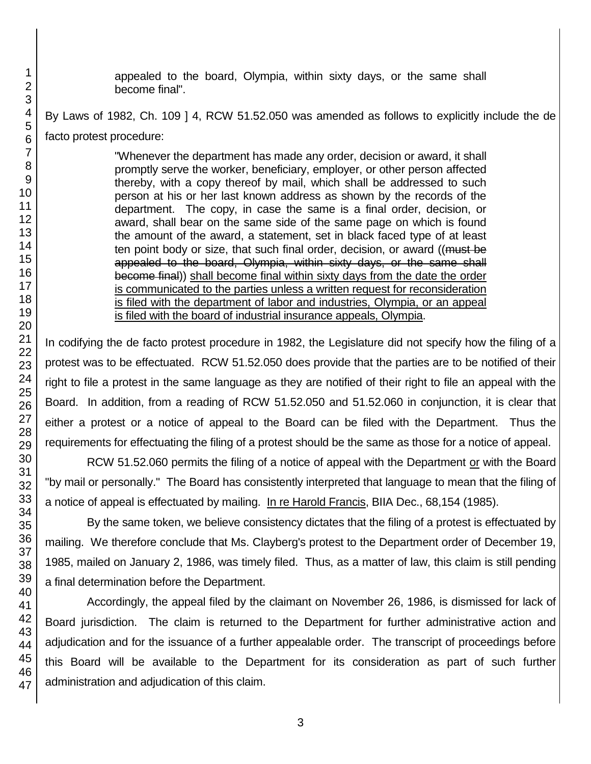appealed to the board, Olympia, within sixty days, or the same shall become final".

By Laws of 1982, Ch. 109 ] 4, RCW 51.52.050 was amended as follows to explicitly include the de facto protest procedure:

> "Whenever the department has made any order, decision or award, it shall promptly serve the worker, beneficiary, employer, or other person affected thereby, with a copy thereof by mail, which shall be addressed to such person at his or her last known address as shown by the records of the department. The copy, in case the same is a final order, decision, or award, shall bear on the same side of the same page on which is found the amount of the award, a statement, set in black faced type of at least ten point body or size, that such final order, decision, or award ((must be appealed to the board, Olympia, within sixty days, or the same shall become final)) shall become final within sixty days from the date the order is communicated to the parties unless a written request for reconsideration is filed with the department of labor and industries, Olympia, or an appeal is filed with the board of industrial insurance appeals, Olympia.

In codifying the de facto protest procedure in 1982, the Legislature did not specify how the filing of a protest was to be effectuated. RCW 51.52.050 does provide that the parties are to be notified of their right to file a protest in the same language as they are notified of their right to file an appeal with the Board. In addition, from a reading of RCW 51.52.050 and 51.52.060 in conjunction, it is clear that either a protest or a notice of appeal to the Board can be filed with the Department. Thus the requirements for effectuating the filing of a protest should be the same as those for a notice of appeal.

RCW 51.52.060 permits the filing of a notice of appeal with the Department or with the Board "by mail or personally." The Board has consistently interpreted that language to mean that the filing of a notice of appeal is effectuated by mailing. In re Harold Francis, BIIA Dec., 68,154 (1985).

By the same token, we believe consistency dictates that the filing of a protest is effectuated by mailing. We therefore conclude that Ms. Clayberg's protest to the Department order of December 19, 1985, mailed on January 2, 1986, was timely filed. Thus, as a matter of law, this claim is still pending a final determination before the Department.

Accordingly, the appeal filed by the claimant on November 26, 1986, is dismissed for lack of Board jurisdiction. The claim is returned to the Department for further administrative action and adjudication and for the issuance of a further appealable order. The transcript of proceedings before this Board will be available to the Department for its consideration as part of such further administration and adjudication of this claim.

1